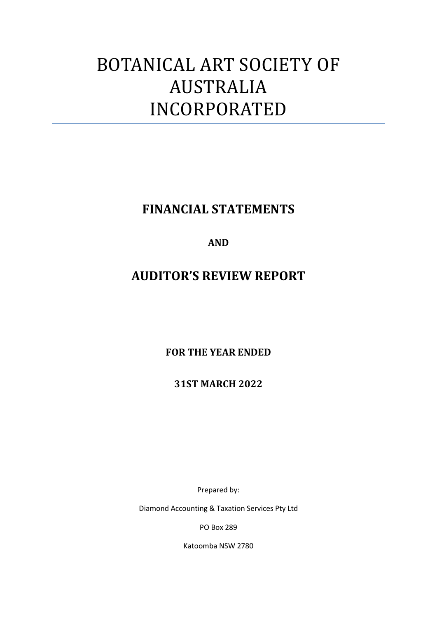# BOTANICAL ART SOCIETY OF AUSTRALIA INCORPORATED

**FINANCIAL STATEMENTS**

### **AND**

# **AUDITOR'S REVIEW REPORT**

**FOR THE YEAR ENDED**

**31ST MARCH 2022**

Prepared by:

Diamond Accounting & Taxation Services Pty Ltd

PO Box 289

Katoomba NSW 2780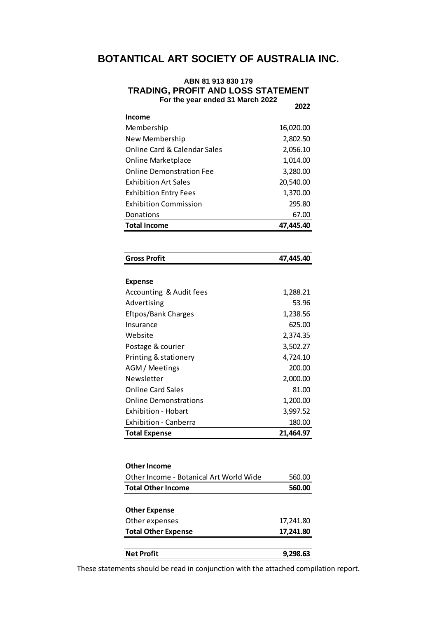### **BOTANTICAL ART SOCIETY OF AUSTRALIA INC.**

#### **ABN 81 913 830 179 TRADING, PROFIT AND LOSS STATEMENT For the year ended 31 March 2022 2022**

| <b>Income</b>                |           |
|------------------------------|-----------|
| Membership                   | 16,020.00 |
| New Membership               | 2,802.50  |
| Online Card & Calendar Sales | 2,056.10  |
| <b>Online Marketplace</b>    | 1,014.00  |
| Online Demonstration Fee     | 3,280.00  |
| <b>Exhibition Art Sales</b>  | 20,540.00 |
| <b>Exhibition Entry Fees</b> | 1,370.00  |
| <b>Exhibition Commission</b> | 295.80    |
| Donations                    | 67.00     |
| <b>Total Income</b>          | 47.445.40 |

| 47,445.40 |
|-----------|
|           |
|           |
| 1,288.21  |
| 53.96     |
| 1,238.56  |
| 625.00    |
| 2,374.35  |
| 3,502.27  |
| 4,724.10  |
| 200.00    |
| 2,000.00  |
| 81.00     |
| 1,200.00  |
| 3,997.52  |
| 180.00    |
| 21,464.97 |
|           |
|           |

| <b>Other Income</b>                     |           |
|-----------------------------------------|-----------|
| Other Income - Botanical Art World Wide | 560.00    |
| <b>Total Other Income</b>               | 560.00    |
|                                         |           |
| <b>Other Expense</b>                    |           |
| Other expenses                          | 17,241.80 |
| <b>Total Other Expense</b>              | 17,241.80 |
|                                         |           |
| <b>Net Profit</b>                       | 9.298.63  |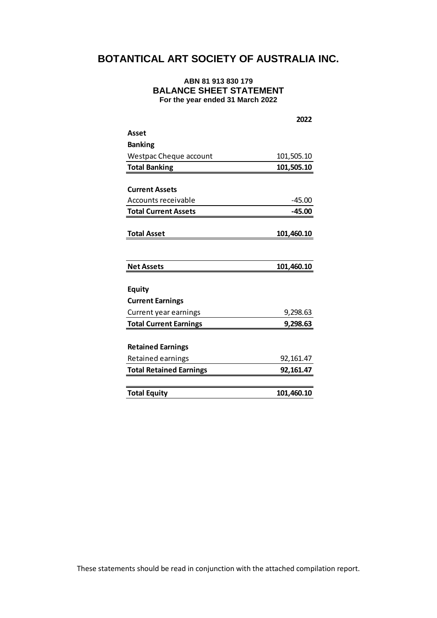### **BOTANTICAL ART SOCIETY OF AUSTRALIA INC.**

### **ABN 81 913 830 179 BALANCE SHEET STATEMENT For the year ended 31 March 2022**

|                                | 2022       |
|--------------------------------|------------|
| Asset                          |            |
| <b>Banking</b>                 |            |
| <b>Westpac Cheque account</b>  | 101,505.10 |
| <b>Total Banking</b>           | 101,505.10 |
|                                |            |
| <b>Current Assets</b>          |            |
| <b>Accounts receivable</b>     | $-45.00$   |
| <b>Total Current Assets</b>    | $-45.00$   |
|                                |            |
| <b>Total Asset</b>             | 101,460.10 |
|                                |            |
|                                |            |
| <b>Net Assets</b>              | 101,460.10 |
|                                |            |
| <b>Equity</b>                  |            |
| <b>Current Earnings</b>        |            |
| Current year earnings          | 9,298.63   |
| <b>Total Current Earnings</b>  | 9,298.63   |
|                                |            |
| <b>Retained Earnings</b>       |            |
| Retained earnings              | 92,161.47  |
| <b>Total Retained Earnings</b> | 92,161.47  |
|                                |            |
| <b>Total Equity</b>            | 101,460.10 |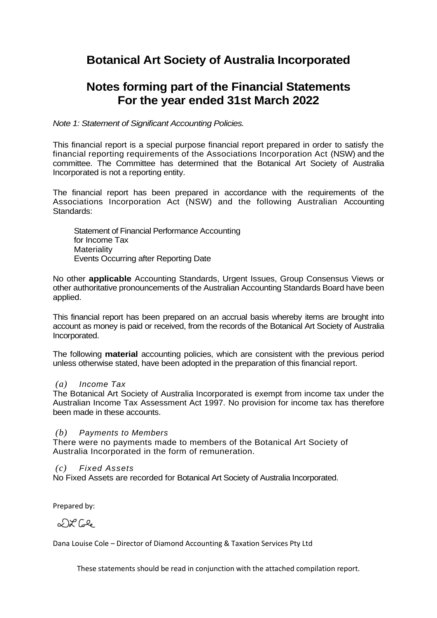## **Botanical Art Society of Australia Incorporated**

## **Notes forming part of the Financial Statements For the year ended 31st March 2022**

*Note 1: Statement of Significant Accounting Policies.*

This financial report is a special purpose financial report prepared in order to satisfy the financial reporting requirements of the Associations Incorporation Act (NSW) and the committee. The Committee has determined that the Botanical Art Society of Australia Incorporated is not a reporting entity.

The financial report has been prepared in accordance with the requirements of the Associations Incorporation Act (NSW) and the following Australian Accounting Standards:

Statement of Financial Performance Accounting for Income Tax **Materiality** Events Occurring after Reporting Date

No other **applicable** Accounting Standards, Urgent Issues, Group Consensus Views or other authoritative pronouncements of the Australian Accounting Standards Board have been applied.

This financial report has been prepared on an accrual basis whereby items are brought into account as money is paid or received, from the records of the Botanical Art Society of Australia Incorporated.

The following **material** accounting policies, which are consistent with the previous period unless otherwise stated, have been adopted in the preparation of this financial report.

### *(a) Income Tax*

The Botanical Art Society of Australia Incorporated is exempt from income tax under the Australian Income Tax Assessment Act 1997. No provision for income tax has therefore been made in these accounts.

### *(b) Payments to Members*

There were no payments made to members of the Botanical Art Society of Australia Incorporated in the form of remuneration.

### *(c) Fixed Assets*

No Fixed Assets are recorded for Botanical Art Society of Australia Incorporated.

Prepared by:

 $\mathcal{L} \times \mathcal{L}$ 

Dana Louise Cole – Director of Diamond Accounting & Taxation Services Pty Ltd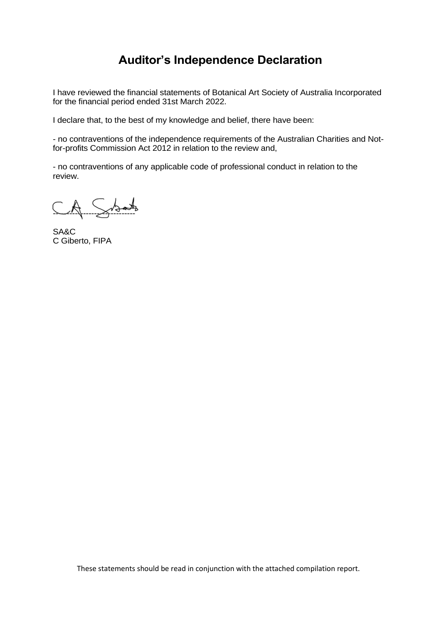# **Auditor's Independence Declaration**

I have reviewed the financial statements of Botanical Art Society of Australia Incorporated for the financial period ended 31st March 2022.

I declare that, to the best of my knowledge and belief, there have been:

- no contraventions of the independence requirements of the Australian Charities and Notfor-profits Commission Act 2012 in relation to the review and,

- no contraventions of any applicable code of professional conduct in relation to the review.

 $CA.$  Sidents

SA&C C Giberto, FIPA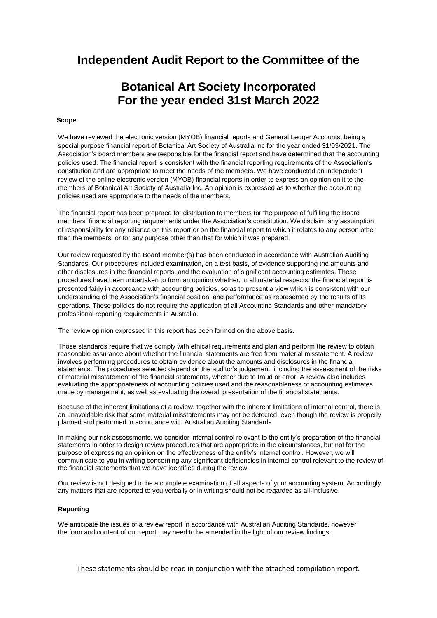### **Independent Audit Report to the Committee of the**

# **Botanical Art Society Incorporated For the year ended 31st March 2022**

#### **Scope**

We have reviewed the electronic version (MYOB) financial reports and General Ledger Accounts, being a special purpose financial report of Botanical Art Society of Australia Inc for the year ended 31/03/2021. The Association's board members are responsible for the financial report and have determined that the accounting policies used. The financial report is consistent with the financial reporting requirements of the Association's constitution and are appropriate to meet the needs of the members. We have conducted an independent review of the online electronic version (MYOB) financial reports in order to express an opinion on it to the members of Botanical Art Society of Australia Inc. An opinion is expressed as to whether the accounting policies used are appropriate to the needs of the members.

The financial report has been prepared for distribution to members for the purpose of fulfilling the Board members' financial reporting requirements under the Association's constitution. We disclaim any assumption of responsibility for any reliance on this report or on the financial report to which it relates to any person other than the members, or for any purpose other than that for which it was prepared.

Our review requested by the Board member(s) has been conducted in accordance with Australian Auditing Standards. Our procedures included examination, on a test basis, of evidence supporting the amounts and other disclosures in the financial reports, and the evaluation of significant accounting estimates. These procedures have been undertaken to form an opinion whether, in all material respects, the financial report is presented fairly in accordance with accounting policies, so as to present a view which is consistent with our understanding of the Association's financial position, and performance as represented by the results of its operations. These policies do not require the application of all Accounting Standards and other mandatory professional reporting requirements in Australia.

The review opinion expressed in this report has been formed on the above basis.

Those standards require that we comply with ethical requirements and plan and perform the review to obtain reasonable assurance about whether the financial statements are free from material misstatement. A review involves performing procedures to obtain evidence about the amounts and disclosures in the financial statements. The procedures selected depend on the auditor's judgement, including the assessment of the risks of material misstatement of the financial statements, whether due to fraud or error. A review also includes evaluating the appropriateness of accounting policies used and the reasonableness of accounting estimates made by management, as well as evaluating the overall presentation of the financial statements.

Because of the inherent limitations of a review, together with the inherent limitations of internal control, there is an unavoidable risk that some material misstatements may not be detected, even though the review is properly planned and performed in accordance with Australian Auditing Standards.

In making our risk assessments, we consider internal control relevant to the entity's preparation of the financial statements in order to design review procedures that are appropriate in the circumstances, but not for the purpose of expressing an opinion on the effectiveness of the entity's internal control. However, we will communicate to you in writing concerning any significant deficiencies in internal control relevant to the review of the financial statements that we have identified during the review.

Our review is not designed to be a complete examination of all aspects of your accounting system. Accordingly, any matters that are reported to you verbally or in writing should not be regarded as all-inclusive.

#### **Reporting**

We anticipate the issues of a review report in accordance with Australian Auditing Standards, however the form and content of our report may need to be amended in the light of our review findings.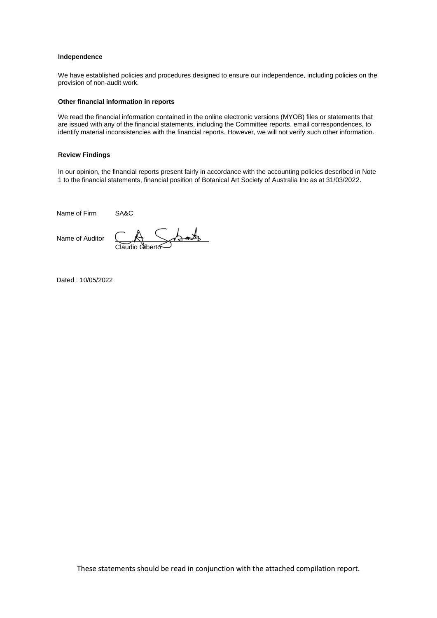#### **Independence**

We have established policies and procedures designed to ensure our independence, including policies on the provision of non-audit work.

#### **Other financial information in reports**

We read the financial information contained in the online electronic versions (MYOB) files or statements that are issued with any of the financial statements, including the Committee reports, email correspondences, to identify material inconsistencies with the financial reports. However, we will not verify such other information.

#### **Review Findings**

In our opinion, the financial reports present fairly in accordance with the accounting policies described in Note 1 to the financial statements, financial position of Botanical Art Society of Australia Inc as at 31/03/2022.

Name of Firm SA&C

Name of Auditor

Claudio Giberto

Dated : 10/05/2022